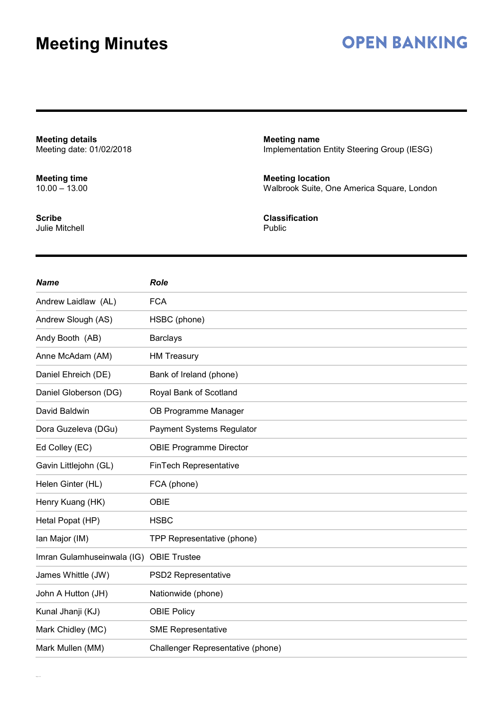# **OPEN BANKING**

**Meeting details** Meeting date: 01/02/2018

**Meeting time** 10.00 – 13.00

**Scribe** Julie Mitchell **Meeting name** Implementation Entity Steering Group (IESG)

**Meeting location** Walbrook Suite, One America Square, London

**Classification** Public

| <b>Name</b>                | <b>Role</b>                       |
|----------------------------|-----------------------------------|
| Andrew Laidlaw (AL)        | <b>FCA</b>                        |
| Andrew Slough (AS)         | HSBC (phone)                      |
| Andy Booth (AB)            | <b>Barclays</b>                   |
| Anne McAdam (AM)           | <b>HM Treasury</b>                |
| Daniel Ehreich (DE)        | Bank of Ireland (phone)           |
| Daniel Globerson (DG)      | Royal Bank of Scotland            |
| David Baldwin              | OB Programme Manager              |
| Dora Guzeleva (DGu)        | <b>Payment Systems Regulator</b>  |
| Ed Colley (EC)             | <b>OBIE Programme Director</b>    |
| Gavin Littlejohn (GL)      | FinTech Representative            |
| Helen Ginter (HL)          | FCA (phone)                       |
| Henry Kuang (HK)           | <b>OBIE</b>                       |
| Hetal Popat (HP)           | <b>HSBC</b>                       |
| Ian Major (IM)             | TPP Representative (phone)        |
| Imran Gulamhuseinwala (IG) | <b>OBIE Trustee</b>               |
| James Whittle (JW)         | PSD2 Representative               |
| John A Hutton (JH)         | Nationwide (phone)                |
| Kunal Jhanji (KJ)          | <b>OBIE Policy</b>                |
| Mark Chidley (MC)          | <b>SME Representative</b>         |
| Mark Mullen (MM)           | Challenger Representative (phone) |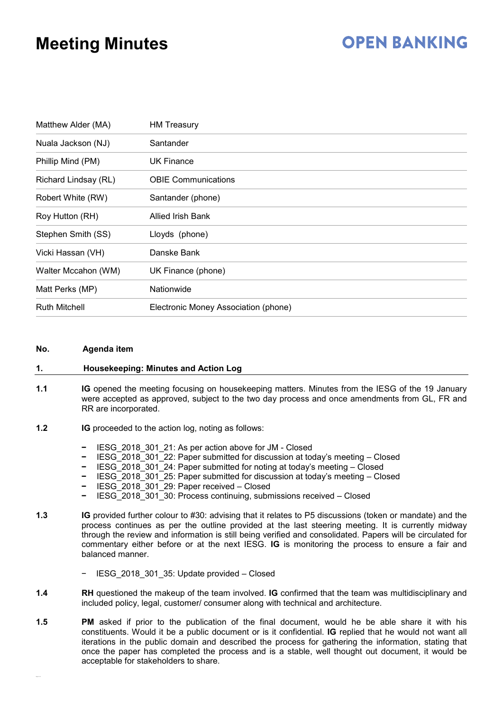# **OPEN BANKING**

| Matthew Alder (MA)   | <b>HM Treasury</b>                   |
|----------------------|--------------------------------------|
| Nuala Jackson (NJ)   | Santander                            |
| Phillip Mind (PM)    | UK Finance                           |
| Richard Lindsay (RL) | <b>OBIE Communications</b>           |
| Robert White (RW)    | Santander (phone)                    |
| Roy Hutton (RH)      | Allied Irish Bank                    |
| Stephen Smith (SS)   | Lloyds (phone)                       |
| Vicki Hassan (VH)    | Danske Bank                          |
| Walter Mccahon (WM)  | UK Finance (phone)                   |
| Matt Perks (MP)      | Nationwide                           |
| <b>Ruth Mitchell</b> | Electronic Money Association (phone) |

#### **No. Agenda item**

#### **1. Housekeeping: Minutes and Action Log**

- **1.1 IG** opened the meeting focusing on housekeeping matters. Minutes from the IESG of the 19 January were accepted as approved, subject to the two day process and once amendments from GL, FR and RR are incorporated.
- **1.2 IG** proceeded to the action log, noting as follows:
	- **−** IESG\_2018\_301\_21: As per action above for JM Closed
	- **−** IESG\_2018\_301\_22: Paper submitted for discussion at today's meeting Closed
	- **−** IESG\_2018\_301\_24: Paper submitted for noting at today's meeting Closed
	- **−** IESG\_2018\_301\_25: Paper submitted for discussion at today's meeting Closed
	- **−** IESG\_2018\_301\_29: Paper received Closed
	- **−** IESG\_2018\_301\_30: Process continuing, submissions received Closed
- **1.3 IG** provided further colour to #30: advising that it relates to P5 discussions (token or mandate) and the process continues as per the outline provided at the last steering meeting. It is currently midway through the review and information is still being verified and consolidated. Papers will be circulated for commentary either before or at the next IESG. **IG** is monitoring the process to ensure a fair and balanced manner.
	- − IESG\_2018\_301\_35: Update provided Closed
- **1.4 RH** questioned the makeup of the team involved. **IG** confirmed that the team was multidisciplinary and included policy, legal, customer/ consumer along with technical and architecture.
- **1.5 PM** asked if prior to the publication of the final document, would he be able share it with his constituents. Would it be a public document or is it confidential. **IG** replied that he would not want all iterations in the public domain and described the process for gathering the information, stating that once the paper has completed the process and is a stable, well thought out document, it would be acceptable for stakeholders to share.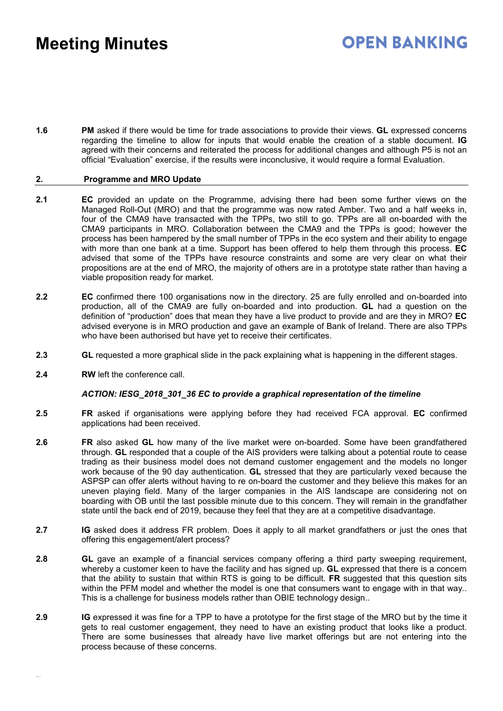### **OPEN BANKING**

**1.6 PM** asked if there would be time for trade associations to provide their views. **GL** expressed concerns regarding the timeline to allow for inputs that would enable the creation of a stable document. **IG** agreed with their concerns and reiterated the process for additional changes and although P5 is not an official "Evaluation" exercise, if the results were inconclusive, it would require a formal Evaluation.

#### **2. Programme and MRO Update**

- **2.1 EC** provided an update on the Programme, advising there had been some further views on the Managed Roll-Out (MRO) and that the programme was now rated Amber. Two and a half weeks in, four of the CMA9 have transacted with the TPPs, two still to go. TPPs are all on-boarded with the CMA9 participants in MRO. Collaboration between the CMA9 and the TPPs is good; however the process has been hampered by the small number of TPPs in the eco system and their ability to engage with more than one bank at a time. Support has been offered to help them through this process. **EC** advised that some of the TPPs have resource constraints and some are very clear on what their propositions are at the end of MRO, the majority of others are in a prototype state rather than having a viable proposition ready for market.
- **2.2 EC** confirmed there 100 organisations now in the directory. 25 are fully enrolled and on-boarded into production, all of the CMA9 are fully on-boarded and into production. **GL** had a question on the definition of "production" does that mean they have a live product to provide and are they in MRO? **EC** advised everyone is in MRO production and gave an example of Bank of Ireland. There are also TPPs who have been authorised but have yet to receive their certificates.
- **2.3 GL** requested a more graphical slide in the pack explaining what is happening in the different stages.
- **2.4 RW** left the conference call.

#### *ACTION: IESG\_2018\_301\_36 EC to provide a graphical representation of the timeline*

- **2.5 FR** asked if organisations were applying before they had received FCA approval. **EC** confirmed applications had been received.
- **2.6 FR** also asked **GL** how many of the live market were on-boarded. Some have been grandfathered through. **GL** responded that a couple of the AIS providers were talking about a potential route to cease trading as their business model does not demand customer engagement and the models no longer work because of the 90 day authentication. **GL** stressed that they are particularly vexed because the ASPSP can offer alerts without having to re on-board the customer and they believe this makes for an uneven playing field. Many of the larger companies in the AIS landscape are considering not on boarding with OB until the last possible minute due to this concern. They will remain in the grandfather state until the back end of 2019, because they feel that they are at a competitive disadvantage.
- **2.7 IG** asked does it address FR problem. Does it apply to all market grandfathers or just the ones that offering this engagement/alert process?
- **2.8 GL** gave an example of a financial services company offering a third party sweeping requirement, whereby a customer keen to have the facility and has signed up. **GL** expressed that there is a concern that the ability to sustain that within RTS is going to be difficult. **FR** suggested that this question sits within the PFM model and whether the model is one that consumers want to engage with in that way.. This is a challenge for business models rather than OBIE technology design..
- **2.9 IG** expressed it was fine for a TPP to have a prototype for the first stage of the MRO but by the time it gets to real customer engagement, they need to have an existing product that looks like a product. There are some businesses that already have live market offerings but are not entering into the process because of these concerns.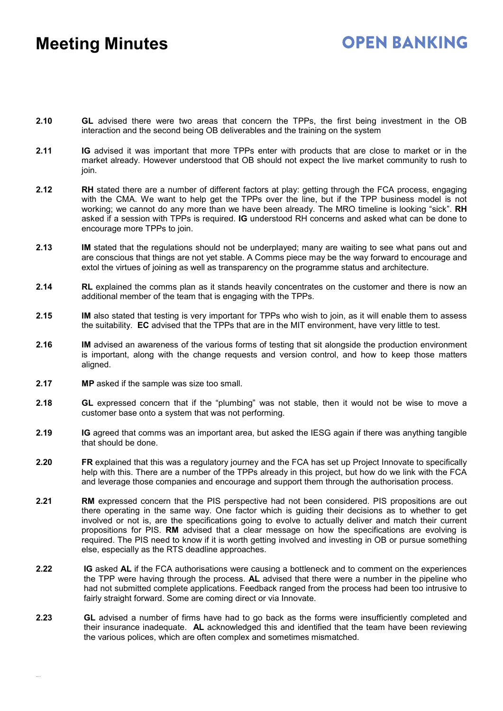# **OPEN BANKING**

- **2.10 GL** advised there were two areas that concern the TPPs, the first being investment in the OB interaction and the second being OB deliverables and the training on the system
- **2.11 IG** advised it was important that more TPPs enter with products that are close to market or in the market already. However understood that OB should not expect the live market community to rush to join.
- **2.12 RH** stated there are a number of different factors at play: getting through the FCA process, engaging with the CMA. We want to help get the TPPs over the line, but if the TPP business model is not working; we cannot do any more than we have been already. The MRO timeline is looking "sick". **RH** asked if a session with TPPs is required. **IG** understood RH concerns and asked what can be done to encourage more TPPs to join.
- **2.13 IM** stated that the regulations should not be underplayed; many are waiting to see what pans out and are conscious that things are not yet stable. A Comms piece may be the way forward to encourage and extol the virtues of joining as well as transparency on the programme status and architecture.
- **2.14 RL** explained the comms plan as it stands heavily concentrates on the customer and there is now an additional member of the team that is engaging with the TPPs.
- **2.15 IM** also stated that testing is very important for TPPs who wish to join, as it will enable them to assess the suitability. **EC** advised that the TPPs that are in the MIT environment, have very little to test.
- **2.16 IM** advised an awareness of the various forms of testing that sit alongside the production environment is important, along with the change requests and version control, and how to keep those matters aligned.
- **2.17 MP** asked if the sample was size too small.
- **2.18 GL** expressed concern that if the "plumbing" was not stable, then it would not be wise to move a customer base onto a system that was not performing.
- **2.19 IG** agreed that comms was an important area, but asked the IESG again if there was anything tangible that should be done.
- **2.20 FR** explained that this was a regulatory journey and the FCA has set up Project Innovate to specifically help with this. There are a number of the TPPs already in this project, but how do we link with the FCA and leverage those companies and encourage and support them through the authorisation process.
- **2.21 RM** expressed concern that the PIS perspective had not been considered. PIS propositions are out there operating in the same way. One factor which is guiding their decisions as to whether to get involved or not is, are the specifications going to evolve to actually deliver and match their current propositions for PIS. **RM** advised that a clear message on how the specifications are evolving is required. The PIS need to know if it is worth getting involved and investing in OB or pursue something else, especially as the RTS deadline approaches.
- **2.22 IG** asked **AL** if the FCA authorisations were causing a bottleneck and to comment on the experiences the TPP were having through the process. **AL** advised that there were a number in the pipeline who had not submitted complete applications. Feedback ranged from the process had been too intrusive to fairly straight forward. Some are coming direct or via Innovate.
- **2.23 GL** advised a number of firms have had to go back as the forms were insufficiently completed and their insurance inadequate. **AL** acknowledged this and identified that the team have been reviewing the various polices, which are often complex and sometimes mismatched.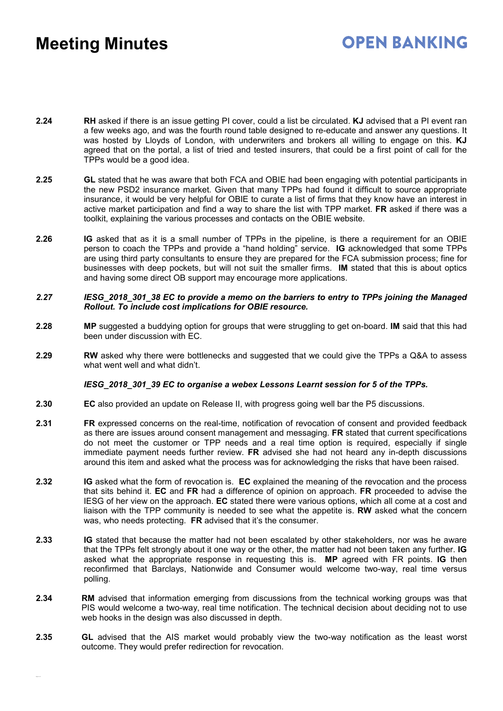# **OPEN BANKING**

- **2.24 RH** asked if there is an issue getting PI cover, could a list be circulated. **KJ** advised that a PI event ran a few weeks ago, and was the fourth round table designed to re-educate and answer any questions. It was hosted by Lloyds of London, with underwriters and brokers all willing to engage on this. **KJ** agreed that on the portal, a list of tried and tested insurers, that could be a first point of call for the TPPs would be a good idea.
- **2.25 GL** stated that he was aware that both FCA and OBIE had been engaging with potential participants in the new PSD2 insurance market. Given that many TPPs had found it difficult to source appropriate insurance, it would be very helpful for OBIE to curate a list of firms that they know have an interest in active market participation and find a way to share the list with TPP market. **FR** asked if there was a toolkit, explaining the various processes and contacts on the OBIE website.
- **2.26 IG** asked that as it is a small number of TPPs in the pipeline, is there a requirement for an OBIE person to coach the TPPs and provide a "hand holding" service. **IG** acknowledged that some TPPs are using third party consultants to ensure they are prepared for the FCA submission process; fine for businesses with deep pockets, but will not suit the smaller firms. **IM** stated that this is about optics and having some direct OB support may encourage more applications.
- *2.27 IESG\_2018\_301\_38 EC to provide a memo on the barriers to entry to TPPs joining the Managed Rollout. To include cost implications for OBIE resource.*
- **2.28 MP** suggested a buddying option for groups that were struggling to get on-board. **IM** said that this had been under discussion with EC.
- **2.29 RW** asked why there were bottlenecks and suggested that we could give the TPPs a Q&A to assess what went well and what didn't.

### *IESG\_2018\_301\_39 EC to organise a webex Lessons Learnt session for 5 of the TPPs.*

- **2.30 EC** also provided an update on Release II, with progress going well bar the P5 discussions.
- **2.31 FR** expressed concerns on the real-time, notification of revocation of consent and provided feedback as there are issues around consent management and messaging. **FR** stated that current specifications do not meet the customer or TPP needs and a real time option is required, especially if single immediate payment needs further review. **FR** advised she had not heard any in-depth discussions around this item and asked what the process was for acknowledging the risks that have been raised.
- **2.32 IG** asked what the form of revocation is. **EC** explained the meaning of the revocation and the process that sits behind it. **EC** and **FR** had a difference of opinion on approach. **FR** proceeded to advise the IESG of her view on the approach. **EC** stated there were various options, which all come at a cost and liaison with the TPP community is needed to see what the appetite is. **RW** asked what the concern was, who needs protecting. **FR** advised that it's the consumer.
- **2.33 IG** stated that because the matter had not been escalated by other stakeholders, nor was he aware that the TPPs felt strongly about it one way or the other, the matter had not been taken any further. **IG** asked what the appropriate response in requesting this is. **MP** agreed with FR points. **IG** then reconfirmed that Barclays, Nationwide and Consumer would welcome two-way, real time versus polling.
- **2.34 RM** advised that information emerging from discussions from the technical working groups was that PIS would welcome a two-way, real time notification. The technical decision about deciding not to use web hooks in the design was also discussed in depth.
- **2.35 GL** advised that the AIS market would probably view the two-way notification as the least worst outcome. They would prefer redirection for revocation.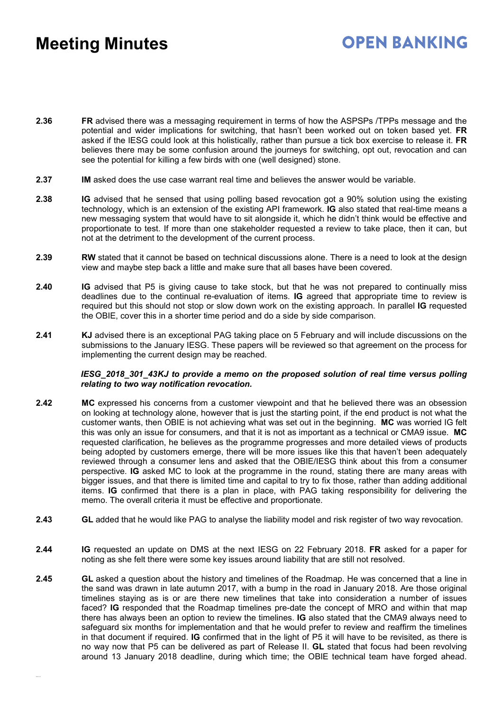# **OPEN BANKING**

- **2.36 FR** advised there was a messaging requirement in terms of how the ASPSPs /TPPs message and the potential and wider implications for switching, that hasn't been worked out on token based yet. **FR** asked if the IESG could look at this holistically, rather than pursue a tick box exercise to release it. **FR** believes there may be some confusion around the journeys for switching, opt out, revocation and can see the potential for killing a few birds with one (well designed) stone.
- **2.37 IM** asked does the use case warrant real time and believes the answer would be variable.
- **2.38 IG** advised that he sensed that using polling based revocation got a 90% solution using the existing technology, which is an extension of the existing API framework. **IG** also stated that real-time means a new messaging system that would have to sit alongside it, which he didn't think would be effective and proportionate to test. If more than one stakeholder requested a review to take place, then it can, but not at the detriment to the development of the current process.
- **2.39 RW** stated that it cannot be based on technical discussions alone. There is a need to look at the design view and maybe step back a little and make sure that all bases have been covered.
- **2.40 IG** advised that P5 is giving cause to take stock, but that he was not prepared to continually miss deadlines due to the continual re-evaluation of items. **IG** agreed that appropriate time to review is required but this should not stop or slow down work on the existing approach. In parallel **IG** requested the OBIE, cover this in a shorter time period and do a side by side comparison.
- **2.41 KJ** advised there is an exceptional PAG taking place on 5 February and will include discussions on the submissions to the January IESG. These papers will be reviewed so that agreement on the process for implementing the current design may be reached.

#### *IESG\_2018\_301\_43KJ to provide a memo on the proposed solution of real time versus polling relating to two way notification revocation.*

- **2.42 MC** expressed his concerns from a customer viewpoint and that he believed there was an obsession on looking at technology alone, however that is just the starting point, if the end product is not what the customer wants, then OBIE is not achieving what was set out in the beginning. **MC** was worried IG felt this was only an issue for consumers, and that it is not as important as a technical or CMA9 issue. **MC** requested clarification, he believes as the programme progresses and more detailed views of products being adopted by customers emerge, there will be more issues like this that haven't been adequately reviewed through a consumer lens and asked that the OBIE/IESG think about this from a consumer perspective. **IG** asked MC to look at the programme in the round, stating there are many areas with bigger issues, and that there is limited time and capital to try to fix those, rather than adding additional items. **IG** confirmed that there is a plan in place, with PAG taking responsibility for delivering the memo. The overall criteria it must be effective and proportionate.
- **2.43 GL** added that he would like PAG to analyse the liability model and risk register of two way revocation.
- **2.44 IG** requested an update on DMS at the next IESG on 22 February 2018. **FR** asked for a paper for noting as she felt there were some key issues around liability that are still not resolved.
- **2.45 GL** asked a question about the history and timelines of the Roadmap. He was concerned that a line in the sand was drawn in late autumn 2017, with a bump in the road in January 2018. Are those original timelines staying as is or are there new timelines that take into consideration a number of issues faced? **IG** responded that the Roadmap timelines pre-date the concept of MRO and within that map there has always been an option to review the timelines. **IG** also stated that the CMA9 always need to safeguard six months for implementation and that he would prefer to review and reaffirm the timelines in that document if required. **IG** confirmed that in the light of P5 it will have to be revisited, as there is no way now that P5 can be delivered as part of Release II. **GL** stated that focus had been revolving around 13 January 2018 deadline, during which time; the OBIE technical team have forged ahead.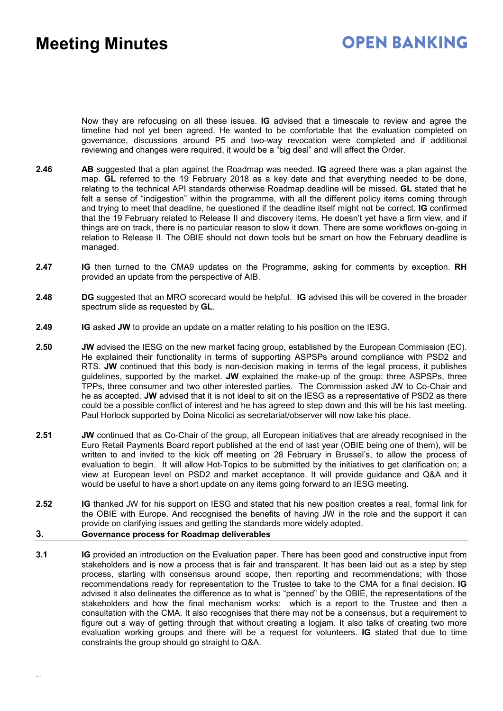# **OPEN BANKING**

Now they are refocusing on all these issues. **IG** advised that a timescale to review and agree the timeline had not yet been agreed. He wanted to be comfortable that the evaluation completed on governance, discussions around P5 and two-way revocation were completed and if additional reviewing and changes were required, it would be a "big deal" and will affect the Order.

- **2.46 AB** suggested that a plan against the Roadmap was needed. **IG** agreed there was a plan against the map. **GL** referred to the 19 February 2018 as a key date and that everything needed to be done, relating to the technical API standards otherwise Roadmap deadline will be missed. **GL** stated that he felt a sense of "indigestion" within the programme, with all the different policy items coming through and trying to meet that deadline, he questioned if the deadline itself might not be correct. **IG** confirmed that the 19 February related to Release II and discovery items. He doesn't yet have a firm view, and if things are on track, there is no particular reason to slow it down. There are some workflows on-going in relation to Release II. The OBIE should not down tools but be smart on how the February deadline is managed.
- **2.47 IG** then turned to the CMA9 updates on the Programme, asking for comments by exception. **RH** provided an update from the perspective of AIB.
- **2.48 DG** suggested that an MRO scorecard would be helpful. **IG** advised this will be covered in the broader spectrum slide as requested by **GL**.
- **2.49 IG** asked **JW** to provide an update on a matter relating to his position on the IESG.
- **2.50 JW** advised the IESG on the new market facing group, established by the European Commission (EC). He explained their functionality in terms of supporting ASPSPs around compliance with PSD2 and RTS. **JW** continued that this body is non-decision making in terms of the legal process, it publishes guidelines, supported by the market. **JW** explained the make-up of the group: three ASPSPs, three TPPs, three consumer and two other interested parties. The Commission asked JW to Co-Chair and he as accepted. **JW** advised that it is not ideal to sit on the IESG as a representative of PSD2 as there could be a possible conflict of interest and he has agreed to step down and this will be his last meeting. Paul Horlock supported by Doina Nicolici as secretariat/observer will now take his place.
- **2.51 JW** continued that as Co-Chair of the group, all European initiatives that are already recognised in the Euro Retail Payments Board report published at the end of last year (OBIE being one of them), will be written to and invited to the kick off meeting on 28 February in Brussel's, to allow the process of evaluation to begin. It will allow Hot-Topics to be submitted by the initiatives to get clarification on; a view at European level on PSD2 and market acceptance. It will provide guidance and Q&A and it would be useful to have a short update on any items going forward to an IESG meeting.
- **2.52 IG** thanked JW for his support on IESG and stated that his new position creates a real, formal link for the OBIE with Europe. And recognised the benefits of having JW in the role and the support it can provide on clarifying issues and getting the standards more widely adopted. **3. Governance process for Roadmap deliverables**
- **3.1 IG** provided an introduction on the Evaluation paper. There has been good and constructive input from stakeholders and is now a process that is fair and transparent. It has been laid out as a step by step process, starting with consensus around scope, then reporting and recommendations; with those recommendations ready for representation to the Trustee to take to the CMA for a final decision. **IG** advised it also delineates the difference as to what is "penned" by the OBIE, the representations of the stakeholders and how the final mechanism works: which is a report to the Trustee and then a consultation with the CMA. It also recognises that there may not be a consensus, but a requirement to figure out a way of getting through that without creating a logjam. It also talks of creating two more evaluation working groups and there will be a request for volunteers. **IG** stated that due to time constraints the group should go straight to Q&A.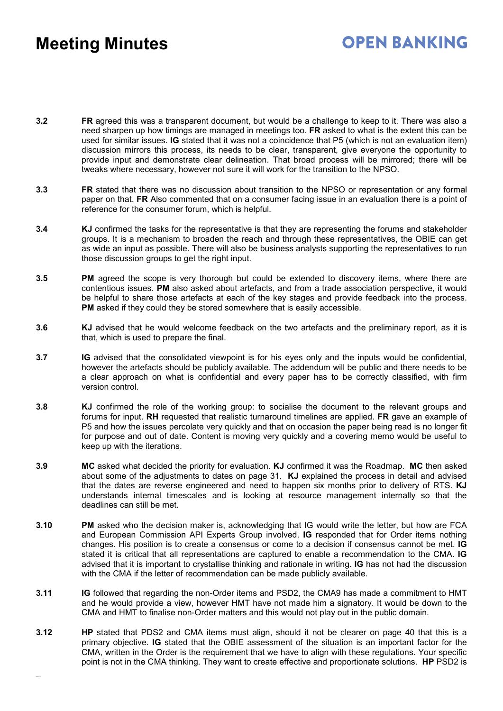# **OPEN BANKING**

- **3.2 FR** agreed this was a transparent document, but would be a challenge to keep to it. There was also a need sharpen up how timings are managed in meetings too. **FR** asked to what is the extent this can be used for similar issues. **IG** stated that it was not a coincidence that P5 (which is not an evaluation item) discussion mirrors this process, its needs to be clear, transparent, give everyone the opportunity to provide input and demonstrate clear delineation. That broad process will be mirrored; there will be tweaks where necessary, however not sure it will work for the transition to the NPSO.
- **3.3 FR** stated that there was no discussion about transition to the NPSO or representation or any formal paper on that. **FR** Also commented that on a consumer facing issue in an evaluation there is a point of reference for the consumer forum, which is helpful.
- **3.4 KJ** confirmed the tasks for the representative is that they are representing the forums and stakeholder groups. It is a mechanism to broaden the reach and through these representatives, the OBIE can get as wide an input as possible. There will also be business analysts supporting the representatives to run those discussion groups to get the right input.
- **3.5 PM** agreed the scope is very thorough but could be extended to discovery items, where there are contentious issues. **PM** also asked about artefacts, and from a trade association perspective, it would be helpful to share those artefacts at each of the key stages and provide feedback into the process. **PM** asked if they could they be stored somewhere that is easily accessible.
- **3.6 KJ** advised that he would welcome feedback on the two artefacts and the preliminary report, as it is that, which is used to prepare the final.
- **3.7 IG** advised that the consolidated viewpoint is for his eyes only and the inputs would be confidential, however the artefacts should be publicly available. The addendum will be public and there needs to be a clear approach on what is confidential and every paper has to be correctly classified, with firm version control.
- **3.8 KJ** confirmed the role of the working group: to socialise the document to the relevant groups and forums for input. **RH** requested that realistic turnaround timelines are applied. **FR** gave an example of P5 and how the issues percolate very quickly and that on occasion the paper being read is no longer fit for purpose and out of date. Content is moving very quickly and a covering memo would be useful to keep up with the iterations.
- **3.9 MC** asked what decided the priority for evaluation. **KJ** confirmed it was the Roadmap. **MC** then asked about some of the adjustments to dates on page 31. **KJ** explained the process in detail and advised that the dates are reverse engineered and need to happen six months prior to delivery of RTS. **KJ** understands internal timescales and is looking at resource management internally so that the deadlines can still be met.
- **3.10 PM** asked who the decision maker is, acknowledging that IG would write the letter, but how are FCA and European Commission API Experts Group involved. **IG** responded that for Order items nothing changes. His position is to create a consensus or come to a decision if consensus cannot be met. **IG** stated it is critical that all representations are captured to enable a recommendation to the CMA. **IG** advised that it is important to crystallise thinking and rationale in writing. **IG** has not had the discussion with the CMA if the letter of recommendation can be made publicly available.
- **3.11 IG** followed that regarding the non-Order items and PSD2, the CMA9 has made a commitment to HMT and he would provide a view, however HMT have not made him a signatory. It would be down to the CMA and HMT to finalise non-Order matters and this would not play out in the public domain.
- **3.12 HP** stated that PDS2 and CMA items must align, should it not be clearer on page 40 that this is a primary objective. **IG** stated that the OBIE assessment of the situation is an important factor for the CMA, written in the Order is the requirement that we have to align with these regulations. Your specific point is not in the CMA thinking. They want to create effective and proportionate solutions. **HP** PSD2 is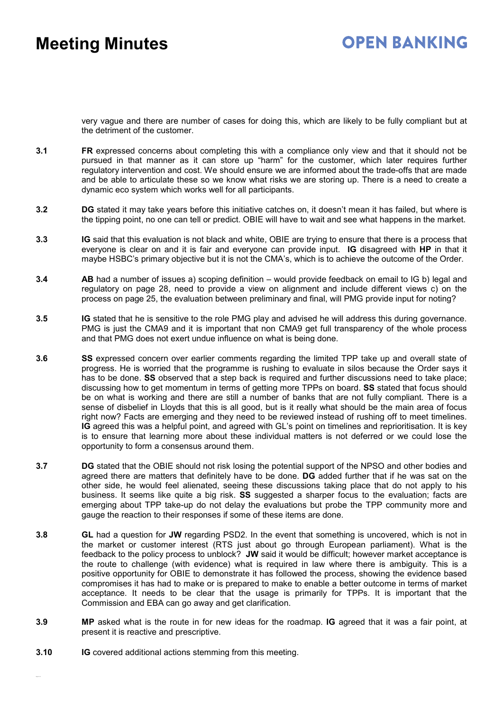# **OPEN BANKING**

very vague and there are number of cases for doing this, which are likely to be fully compliant but at the detriment of the customer.

- **3.1 FR** expressed concerns about completing this with a compliance only view and that it should not be pursued in that manner as it can store up "harm" for the customer, which later requires further regulatory intervention and cost. We should ensure we are informed about the trade-offs that are made and be able to articulate these so we know what risks we are storing up. There is a need to create a dynamic eco system which works well for all participants.
- **3.2 DG** stated it may take years before this initiative catches on, it doesn't mean it has failed, but where is the tipping point, no one can tell or predict. OBIE will have to wait and see what happens in the market.
- **3.3 IG** said that this evaluation is not black and white, OBIE are trying to ensure that there is a process that everyone is clear on and it is fair and everyone can provide input. **IG** disagreed with **HP** in that it maybe HSBC's primary objective but it is not the CMA's, which is to achieve the outcome of the Order.
- **3.4 AB** had a number of issues a) scoping definition would provide feedback on email to IG b) legal and regulatory on page 28, need to provide a view on alignment and include different views c) on the process on page 25, the evaluation between preliminary and final, will PMG provide input for noting?
- **3.5 IG** stated that he is sensitive to the role PMG play and advised he will address this during governance. PMG is just the CMA9 and it is important that non CMA9 get full transparency of the whole process and that PMG does not exert undue influence on what is being done.
- **3.6 SS** expressed concern over earlier comments regarding the limited TPP take up and overall state of progress. He is worried that the programme is rushing to evaluate in silos because the Order says it has to be done. **SS** observed that a step back is required and further discussions need to take place; discussing how to get momentum in terms of getting more TPPs on board. **SS** stated that focus should be on what is working and there are still a number of banks that are not fully compliant. There is a sense of disbelief in Lloyds that this is all good, but is it really what should be the main area of focus right now? Facts are emerging and they need to be reviewed instead of rushing off to meet timelines. **IG** agreed this was a helpful point, and agreed with GL's point on timelines and reprioritisation. It is key is to ensure that learning more about these individual matters is not deferred or we could lose the opportunity to form a consensus around them.
- **3.7 DG** stated that the OBIE should not risk losing the potential support of the NPSO and other bodies and agreed there are matters that definitely have to be done. **DG** added further that if he was sat on the other side, he would feel alienated, seeing these discussions taking place that do not apply to his business. It seems like quite a big risk. **SS** suggested a sharper focus to the evaluation; facts are emerging about TPP take-up do not delay the evaluations but probe the TPP community more and gauge the reaction to their responses if some of these items are done.
- **3.8 GL** had a question for **JW** regarding PSD2. In the event that something is uncovered, which is not in the market or customer interest (RTS just about go through European parliament). What is the feedback to the policy process to unblock? **JW** said it would be difficult; however market acceptance is the route to challenge (with evidence) what is required in law where there is ambiguity. This is a positive opportunity for OBIE to demonstrate it has followed the process, showing the evidence based compromises it has had to make or is prepared to make to enable a better outcome in terms of market acceptance. It needs to be clear that the usage is primarily for TPPs. It is important that the Commission and EBA can go away and get clarification.
- **3.9 MP** asked what is the route in for new ideas for the roadmap. **IG** agreed that it was a fair point, at present it is reactive and prescriptive.
- **3.10 IG** covered additional actions stemming from this meeting.